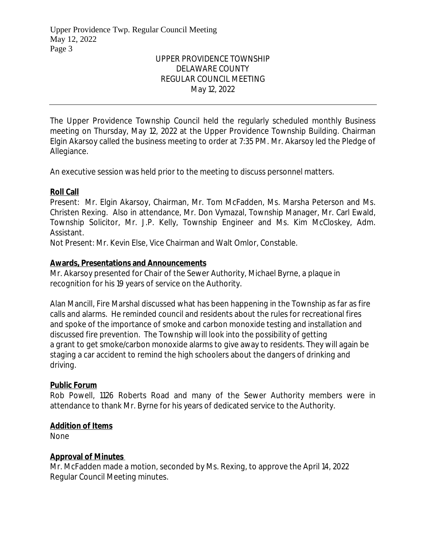# UPPER PROVIDENCE TOWNSHIP DELAWARE COUNTY REGULAR COUNCIL MEETING May 12, 2022

The Upper Providence Township Council held the regularly scheduled monthly Business meeting on Thursday, May 12, 2022 at the Upper Providence Township Building. Chairman Elgin Akarsoy called the business meeting to order at 7:35 PM. Mr. Akarsoy led the Pledge of Allegiance.

An executive session was held prior to the meeting to discuss personnel matters.

## **Roll Call**

Present: Mr. Elgin Akarsoy, Chairman, Mr. Tom McFadden, Ms. Marsha Peterson and Ms. Christen Rexing. Also in attendance, Mr. Don Vymazal, Township Manager, Mr. Carl Ewald, Township Solicitor, Mr. J.P. Kelly, Township Engineer and Ms. Kim McCloskey, Adm. Assistant.

Not Present: Mr. Kevin Else, Vice Chairman and Walt Omlor, Constable.

## **Awards, Presentations and Announcements**

Mr. Akarsoy presented for Chair of the Sewer Authority, Michael Byrne, a plaque in recognition for his 19 years of service on the Authority.

Alan Mancill, Fire Marshal discussed what has been happening in the Township as far as fire calls and alarms. He reminded council and residents about the rules for recreational fires and spoke of the importance of smoke and carbon monoxide testing and installation and discussed fire prevention. The Township will look into the possibility of getting a grant to get smoke/carbon monoxide alarms to give away to residents. They will again be staging a car accident to remind the high schoolers about the dangers of drinking and driving.

### **Public Forum**

Rob Powell, 1126 Roberts Road and many of the Sewer Authority members were in attendance to thank Mr. Byrne for his years of dedicated service to the Authority.

# **Addition of Items**

None

# **Approval of Minutes**

Mr. McFadden made a motion, seconded by Ms. Rexing, to approve the April 14, 2022 Regular Council Meeting minutes.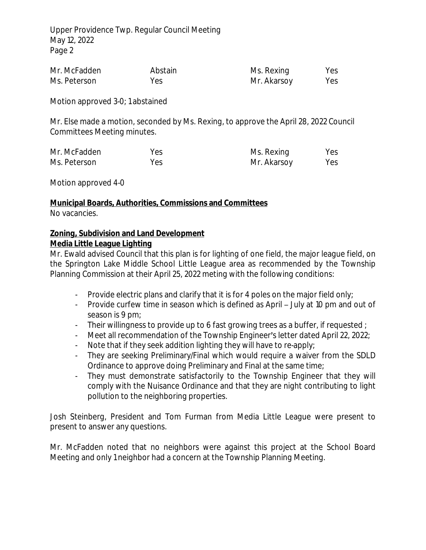| Mr. McFadden | Abstain | Ms. Rexing  | Yes |
|--------------|---------|-------------|-----|
| Ms. Peterson | Yes     | Mr. Akarsoy | Yes |

Motion approved 3-0; 1 abstained

Mr. Else made a motion, seconded by Ms. Rexing, to approve the April 28, 2022 Council Committees Meeting minutes.

| Mr. McFadden | Yes | Ms. Rexing  | Yes |
|--------------|-----|-------------|-----|
| Ms. Peterson | Yes | Mr. Akarsoy | Yes |

Motion approved 4-0

### **Municipal Boards, Authorities, Commissions and Committees**

No vacancies.

## **Zoning, Subdivision and Land Development Media Little League Lighting**

Mr. Ewald advised Council that this plan is for lighting of one field, the major league field, on the Springton Lake Middle School Little League area as recommended by the Township Planning Commission at their April 25, 2022 meting with the following conditions:

- Provide electric plans and clarify that it is for 4 poles on the major field only;
- Provide curfew time in season which is defined as April July at 10 pm and out of season is 9 pm;
- Their willingness to provide up to 6 fast growing trees as a buffer, if requested ;
- Meet all recommendation of the Township Engineer's letter dated April 22, 2022;
- Note that if they seek addition lighting they will have to re-apply;
- They are seeking Preliminary/Final which would require a waiver from the SDLD Ordinance to approve doing Preliminary and Final at the same time;
- They must demonstrate satisfactorily to the Township Engineer that they will comply with the Nuisance Ordinance and that they are night contributing to light pollution to the neighboring properties.

Josh Steinberg, President and Tom Furman from Media Little League were present to present to answer any questions.

Mr. McFadden noted that no neighbors were against this project at the School Board Meeting and only 1 neighbor had a concern at the Township Planning Meeting.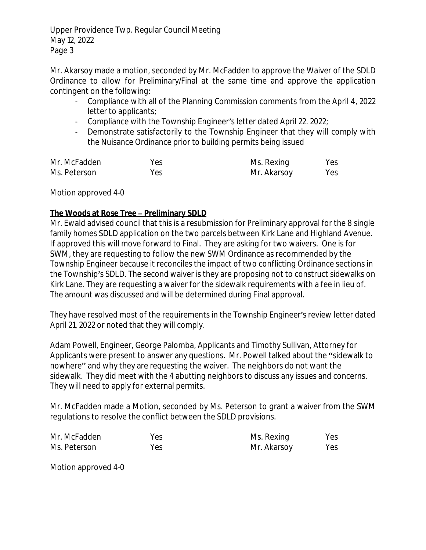Mr. Akarsoy made a motion, seconded by Mr. McFadden to approve the Waiver of the SDLD Ordinance to allow for Preliminary/Final at the same time and approve the application contingent on the following:

- Compliance with all of the Planning Commission comments from the April 4, 2022 letter to applicants;
- Compliance with the Township Engineer's letter dated April 22. 2022;
- Demonstrate satisfactorily to the Township Engineer that they will comply with the Nuisance Ordinance prior to building permits being issued

| Mr. McFadden | Yes | Ms. Rexing  | Yes |
|--------------|-----|-------------|-----|
| Ms. Peterson | Yes | Mr. Akarsoy | Yes |

Motion approved 4-0

# **The Woods at Rose Tree – Preliminary SDLD**

Mr. Ewald advised council that this is a resubmission for Preliminary approval for the 8 single family homes SDLD application on the two parcels between Kirk Lane and Highland Avenue. If approved this will move forward to Final. They are asking for two waivers. One is for SWM, they are requesting to follow the new SWM Ordinance as recommended by the Township Engineer because it reconciles the impact of two conflicting Ordinance sections in the Township's SDLD. The second waiver is they are proposing not to construct sidewalks on Kirk Lane. They are requesting a waiver for the sidewalk requirements with a fee in lieu of. The amount was discussed and will be determined during Final approval.

They have resolved most of the requirements in the Township Engineer's review letter dated April 21, 2022 or noted that they will comply.

Adam Powell, Engineer, George Palomba, Applicants and Timothy Sullivan, Attorney for Applicants were present to answer any questions. Mr. Powell talked about the "sidewalk to nowhere" and why they are requesting the waiver. The neighbors do not want the sidewalk. They did meet with the 4 abutting neighbors to discuss any issues and concerns. They will need to apply for external permits.

Mr. McFadden made a Motion, seconded by Ms. Peterson to grant a waiver from the SWM regulations to resolve the conflict between the SDLD provisions.

| Mr. McFadden | Yes | Ms. Rexing  | Yes |
|--------------|-----|-------------|-----|
| Ms. Peterson | Yes | Mr. Akarsoy | Yes |

Motion approved 4-0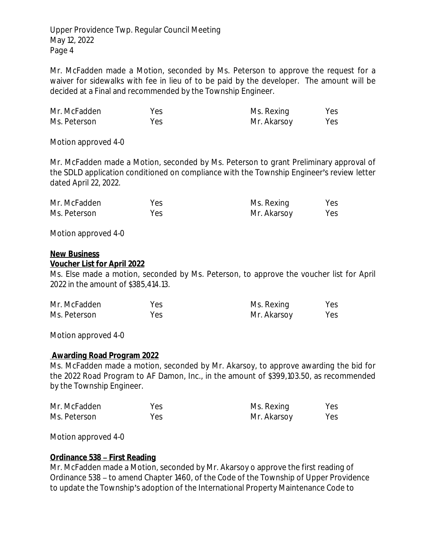Mr. McFadden made a Motion, seconded by Ms. Peterson to approve the request for a waiver for sidewalks with fee in lieu of to be paid by the developer. The amount will be decided at a Final and recommended by the Township Engineer.

| Mr. McFadden | Yes | Ms. Rexing  | Yes |
|--------------|-----|-------------|-----|
| Ms. Peterson | Yes | Mr. Akarsoy | Yes |

Motion approved 4-0

Mr. McFadden made a Motion, seconded by Ms. Peterson to grant Preliminary approval of the SDLD application conditioned on compliance with the Township Engineer's review letter dated April 22, 2022.

| Mr. McFadden | Yes | Ms. Rexing  | Yes |
|--------------|-----|-------------|-----|
| Ms. Peterson | Yes | Mr. Akarsoy | Yes |

Motion approved 4-0

#### **New Business**

#### **Voucher List for April 2022**

Ms. Else made a motion, seconded by Ms. Peterson, to approve the voucher list for April 2022 in the amount of \$385,414.13.

| Mr. McFadden | Yes | Ms. Rexing  | Yes |
|--------------|-----|-------------|-----|
| Ms. Peterson | Yes | Mr. Akarsoy | Yes |

Motion approved 4-0

### **Awarding Road Program 2022**

Ms. McFadden made a motion, seconded by Mr. Akarsoy, to approve awarding the bid for the 2022 Road Program to AF Damon, Inc., in the amount of \$399,103.50, as recommended by the Township Engineer.

| Mr. McFadden | Yes | Ms. Rexing  | Yes |
|--------------|-----|-------------|-----|
| Ms. Peterson | Yes | Mr. Akarsoy | Yes |

Motion approved 4-0

### **Ordinance 538 – First Reading**

Mr. McFadden made a Motion, seconded by Mr. Akarsoy o approve the first reading of Ordinance 538 – to amend Chapter 1460, of the Code of the Township of Upper Providence to update the Township's adoption of the International Property Maintenance Code to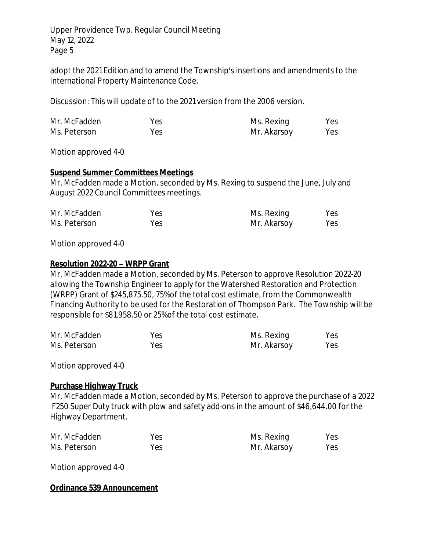adopt the 2021 Edition and to amend the Township's insertions and amendments to the International Property Maintenance Code.

Discussion: This will update of to the 2021 version from the 2006 version.

| Mr. McFadden | Yes | Ms. Rexing  | Yes |
|--------------|-----|-------------|-----|
| Ms. Peterson | Yes | Mr. Akarsoy | Yes |

Motion approved 4-0

### **Suspend Summer Committees Meetings**

Mr. McFadden made a Motion, seconded by Ms. Rexing to suspend the June, July and August 2022 Council Committees meetings.

| Mr. McFadden | Yes | Ms. Rexing  | Yes |
|--------------|-----|-------------|-----|
| Ms. Peterson | Yes | Mr. Akarsoy | Yes |

Motion approved 4-0

### **Resolution 2022-20 – WRPP Grant**

Mr. McFadden made a Motion, seconded by Ms. Peterson to approve Resolution 2022-20 allowing the Township Engineer to apply for the Watershed Restoration and Protection (WRPP) Grant of \$245,875.50, 75% of the total cost estimate, from the Commonwealth Financing Authority to be used for the Restoration of Thompson Park. The Township will be responsible for \$81,958.50 or 25% of the total cost estimate.

| Mr. McFadden | Yes | Ms. Rexing  | Yes |
|--------------|-----|-------------|-----|
| Ms. Peterson | Yes | Mr. Akarsoy | Yes |

Motion approved 4-0

### **Purchase Highway Truck**

Mr. McFadden made a Motion, seconded by Ms. Peterson to approve the purchase of a 2022 F250 Super Duty truck with plow and safety add-ons in the amount of \$46,644.00 for the Highway Department.

| Mr. McFadden | Yes | Ms. Rexing  | Yes |
|--------------|-----|-------------|-----|
| Ms. Peterson | Yes | Mr. Akarsoy | Yes |

Motion approved 4-0

#### **Ordinance 539 Announcement**